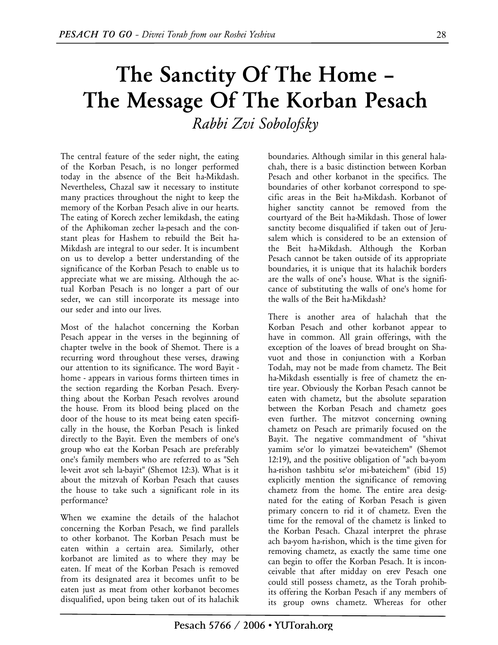## **The Sanctity Of The Home – The Message Of The Korban Pesach**  *Rabbi Zvi Sobolofsky*

The central feature of the seder night, the eating of the Korban Pesach, is no longer performed today in the absence of the Beit ha-Mikdash. Nevertheless, Chazal saw it necessary to institute many practices throughout the night to keep the memory of the Korban Pesach alive in our hearts. The eating of Korech zecher lemikdash, the eating of the Aphikoman zecher la-pesach and the constant pleas for Hashem to rebuild the Beit ha-Mikdash are integral to our seder. It is incumbent on us to develop a better understanding of the significance of the Korban Pesach to enable us to appreciate what we are missing. Although the actual Korban Pesach is no longer a part of our seder, we can still incorporate its message into our seder and into our lives.

Most of the halachot concerning the Korban Pesach appear in the verses in the beginning of chapter twelve in the book of Shemot. There is a recurring word throughout these verses, drawing our attention to its significance. The word Bayit home - appears in various forms thirteen times in the section regarding the Korban Pesach. Everything about the Korban Pesach revolves around the house. From its blood being placed on the door of the house to its meat being eaten specifically in the house, the Korban Pesach is linked directly to the Bayit. Even the members of one's group who eat the Korban Pesach are preferably one's family members who are referred to as "Seh le-veit avot seh la-bayit" (Shemot 12:3). What is it about the mitzvah of Korban Pesach that causes the house to take such a significant role in its performance?

When we examine the details of the halachot concerning the Korban Pesach, we find parallels to other korbanot. The Korban Pesach must be eaten within a certain area. Similarly, other korbanot are limited as to where they may be eaten. If meat of the Korban Pesach is removed from its designated area it becomes unfit to be eaten just as meat from other korbanot becomes disqualified, upon being taken out of its halachik

boundaries. Although similar in this general halachah, there is a basic distinction between Korban Pesach and other korbanot in the specifics. The boundaries of other korbanot correspond to specific areas in the Beit ha-Mikdash. Korbanot of higher sanctity cannot be removed from the courtyard of the Beit ha-Mikdash. Those of lower sanctity become disqualified if taken out of Jerusalem which is considered to be an extension of the Beit ha-Mikdash. Although the Korban Pesach cannot be taken outside of its appropriate boundaries, it is unique that its halachik borders are the walls of one's house. What is the significance of substituting the walls of one's home for the walls of the Beit ha-Mikdash?

There is another area of halachah that the Korban Pesach and other korbanot appear to have in common. All grain offerings, with the exception of the loaves of bread brought on Shavuot and those in conjunction with a Korban Todah, may not be made from chametz. The Beit ha-Mikdash essentially is free of chametz the entire year. Obviously the Korban Pesach cannot be eaten with chametz, but the absolute separation between the Korban Pesach and chametz goes even further. The mitzvot concerning owning chametz on Pesach are primarily focused on the Bayit. The negative commandment of "shivat yamim se'or lo yimatzei be-vateichem" (Shemot 12:19), and the positive obligation of "ach ba-yom ha-rishon tashbitu se'or mi-bateichem" (ibid 15) explicitly mention the significance of removing chametz from the home. The entire area designated for the eating of Korban Pesach is given primary concern to rid it of chametz. Even the time for the removal of the chametz is linked to the Korban Pesach. Chazal interpret the phrase ach ba-yom ha-rishon, which is the time given for removing chametz, as exactly the same time one can begin to offer the Korban Pesach. It is inconceivable that after midday on erev Pesach one could still possess chametz, as the Torah prohibits offering the Korban Pesach if any members of its group owns chametz. Whereas for other